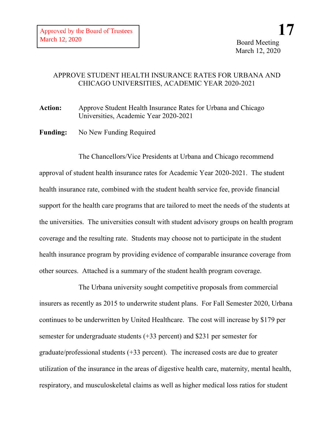## APPROVE STUDENT HEALTH INSURANCE RATES FOR URBANA AND CHICAGO UNIVERSITIES, ACADEMIC YEAR 2020-2021

**Action:** Approve Student Health Insurance Rates for Urbana and Chicago Universities, Academic Year 2020-2021

**Funding:** No New Funding Required

The Chancellors/Vice Presidents at Urbana and Chicago recommend approval of student health insurance rates for Academic Year 2020-2021. The student health insurance rate, combined with the student health service fee, provide financial support for the health care programs that are tailored to meet the needs of the students at the universities. The universities consult with student advisory groups on health program coverage and the resulting rate. Students may choose not to participate in the student health insurance program by providing evidence of comparable insurance coverage from other sources. Attached is a summary of the student health program coverage.

The Urbana university sought competitive proposals from commercial insurers as recently as 2015 to underwrite student plans. For Fall Semester 2020, Urbana continues to be underwritten by United Healthcare. The cost will increase by \$179 per semester for undergraduate students (+33 percent) and \$231 per semester for graduate/professional students (+33 percent). The increased costs are due to greater utilization of the insurance in the areas of digestive health care, maternity, mental health, respiratory, and musculoskeletal claims as well as higher medical loss ratios for student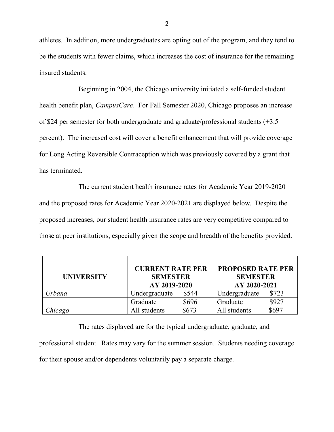athletes. In addition, more undergraduates are opting out of the program, and they tend to be the students with fewer claims, which increases the cost of insurance for the remaining insured students.

Beginning in 2004, the Chicago university initiated a self-funded student health benefit plan, *CampusCare*. For Fall Semester 2020, Chicago proposes an increase of \$24 per semester for both undergraduate and graduate/professional students (+3.5 percent). The increased cost will cover a benefit enhancement that will provide coverage for Long Acting Reversible Contraception which was previously covered by a grant that has terminated.

The current student health insurance rates for Academic Year 2019-2020 and the proposed rates for Academic Year 2020-2021 are displayed below. Despite the proposed increases, our student health insurance rates are very competitive compared to those at peer institutions, especially given the scope and breadth of the benefits provided.

| <b>UNIVERSITY</b> | <b>CURRENT RATE PER</b><br><b>SEMESTER</b><br>AY 2019-2020 |       | <b>PROPOSED RATE PER</b><br><b>SEMESTER</b><br>AY 2020-2021 |       |
|-------------------|------------------------------------------------------------|-------|-------------------------------------------------------------|-------|
| Urbana            | Undergraduate                                              | \$544 | Undergraduate                                               | \$723 |
|                   | Graduate                                                   | \$696 | Graduate                                                    | \$927 |
| Chicago           | All students                                               | \$673 | All students                                                | \$697 |

The rates displayed are for the typical undergraduate, graduate, and professional student. Rates may vary for the summer session. Students needing coverage for their spouse and/or dependents voluntarily pay a separate charge.

2